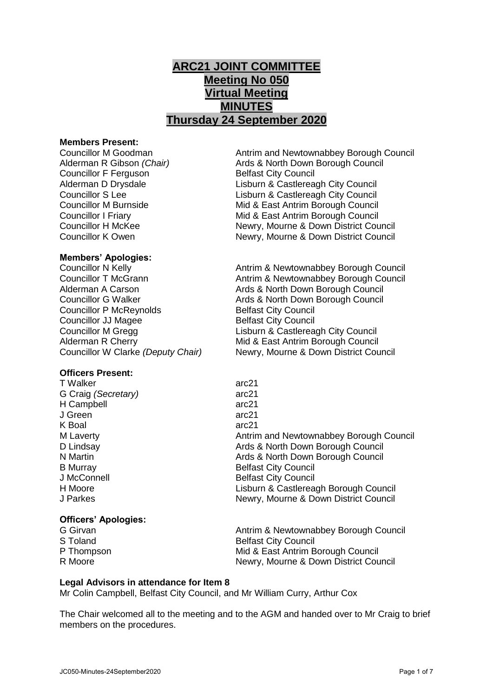# **ARC21 JOINT COMMITTEE Meeting No 050 Virtual Meeting MINUTES Thursday 24 September 2020**

#### **Members Present:**

Councillor F Ferguson Belfast City Council

Councillor M Goodman Antrim and Newtownabbey Borough Council Alderman R Gibson *(Chair)* Ards & North Down Borough Council Alderman D Drysdale **Lisburn & Castlereagh City Council** Councillor S Lee Lisburn & Castlereagh City Council<br>Councillor M Burnside Mid & East Antrim Borough Council Mid & East Antrim Borough Council Councillor I Friary Mid & East Antrim Borough Council Councillor H McKee Newry, Mourne & Down District Council Councillor K Owen Newry, Mourne & Down District Council

## **Members' Apologies:**

Councillor P McReynolds Belfast City Council Councillor JJ Magee Belfast City Council Alderman R Cherry Mid & East Antrim Borough Council<br>Councillor W Clarke (Deputy Chair) Newry, Mourne & Down District Cou

# **Officers Present:**

T Walker and the contract of the contract of the contract of the contract of the contract of the contract of the contract of the contract of the contract of the contract of the contract of the contract of the contract of t G Craig *(Secretary)* H Campbell J Green K Boal D Lindsay **B** Murray J McConnell

# **Officers' Apologies:**

Councillor N Kelly<br>
Councillor T McGrann<br>
Antrim & Newtownabbey Borough Council<br>
Antrim & Newtownabbey Borough Council Antrim & Newtownabbey Borough Council Alderman A Carson **Ards & North Down Borough Council** Councillor G Walker **Ards & North Down Borough Council** Councillor M Gregg Lisburn & Castlereagh City Council Newry, Mourne & Down District Council

| <u>i</u> vvanci     | aluz I                                  |
|---------------------|-----------------------------------------|
| G Craig (Secretary) | arc21                                   |
| <b>H</b> Campbell   | arc21                                   |
| J Green             | arc21                                   |
| K Boal              | arc21                                   |
| M Laverty           | Antrim and Newtownabbey Borough Council |
| D Lindsay           | Ards & North Down Borough Council       |
| N Martin            | Ards & North Down Borough Council       |
| <b>B Murray</b>     | <b>Belfast City Council</b>             |
| J McConnell         | <b>Belfast City Council</b>             |
| H Moore             | Lisburn & Castlereagh Borough Council   |
| J Parkes            | Newry, Mourne & Down District Council   |

G Girvan **Antrim & Newtownabbey Borough Council** Council S Toland Belfast City Council P Thompson Mid & East Antrim Borough Council R Moore Newry, Mourne & Down District Council

# **Legal Advisors in attendance for Item 8**

Mr Colin Campbell, Belfast City Council, and Mr William Curry, Arthur Cox

The Chair welcomed all to the meeting and to the AGM and handed over to Mr Craig to brief members on the procedures.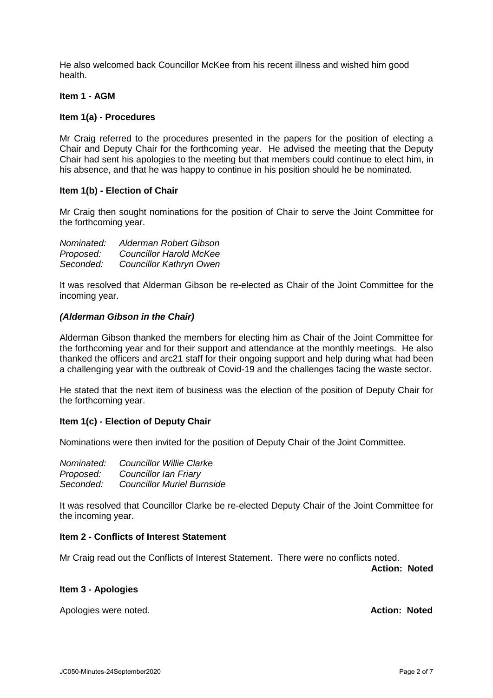He also welcomed back Councillor McKee from his recent illness and wished him good health.

## **Item 1 - AGM**

#### **Item 1(a) - Procedures**

Mr Craig referred to the procedures presented in the papers for the position of electing a Chair and Deputy Chair for the forthcoming year. He advised the meeting that the Deputy Chair had sent his apologies to the meeting but that members could continue to elect him, in his absence, and that he was happy to continue in his position should he be nominated.

## **Item 1(b) - Election of Chair**

Mr Craig then sought nominations for the position of Chair to serve the Joint Committee for the forthcoming year.

| Nominated: | Alderman Robert Gibson         |
|------------|--------------------------------|
| Proposed:  | <b>Councillor Harold McKee</b> |
| Seconded:  | <b>Councillor Kathryn Owen</b> |

It was resolved that Alderman Gibson be re-elected as Chair of the Joint Committee for the incoming year.

## *(Alderman Gibson in the Chair)*

Alderman Gibson thanked the members for electing him as Chair of the Joint Committee for the forthcoming year and for their support and attendance at the monthly meetings. He also thanked the officers and arc21 staff for their ongoing support and help during what had been a challenging year with the outbreak of Covid-19 and the challenges facing the waste sector.

He stated that the next item of business was the election of the position of Deputy Chair for the forthcoming year.

# **Item 1(c) - Election of Deputy Chair**

Nominations were then invited for the position of Deputy Chair of the Joint Committee.

| Nominated: | <b>Councillor Willie Clarke</b>   |
|------------|-----------------------------------|
| Proposed:  | Councillor Ian Friary             |
| Seconded:  | <b>Councillor Muriel Burnside</b> |

It was resolved that Councillor Clarke be re-elected Deputy Chair of the Joint Committee for the incoming year.

#### **Item 2 - Conflicts of Interest Statement**

Mr Craig read out the Conflicts of Interest Statement. There were no conflicts noted.

**Action: Noted**

#### **Item 3 - Apologies**

Apologies were noted. **Action: Noted**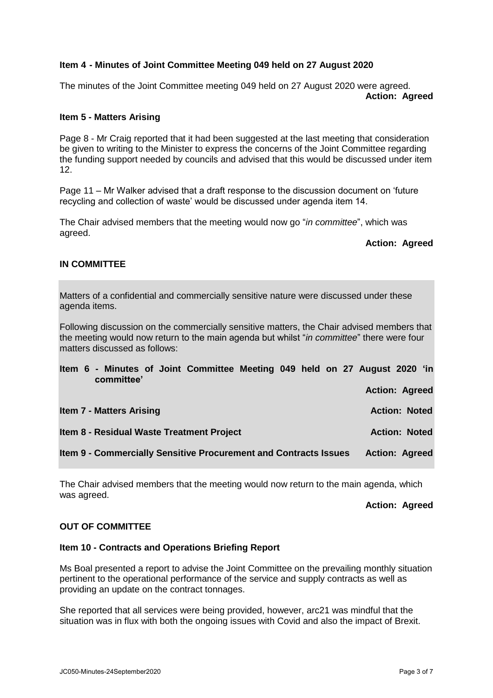## **Item 4 - Minutes of Joint Committee Meeting 049 held on 27 August 2020**

The minutes of the Joint Committee meeting 049 held on 27 August 2020 were agreed. **Action: Agreed**

#### **Item 5 - Matters Arising**

Page 8 - Mr Craig reported that it had been suggested at the last meeting that consideration be given to writing to the Minister to express the concerns of the Joint Committee regarding the funding support needed by councils and advised that this would be discussed under item 12.

Page 11 – Mr Walker advised that a draft response to the discussion document on 'future recycling and collection of waste' would be discussed under agenda item 14.

The Chair advised members that the meeting would now go "*in committee*", which was agreed.

## **Action: Agreed**

## **IN COMMITTEE**

Matters of a confidential and commercially sensitive nature were discussed under these agenda items.

Following discussion on the commercially sensitive matters, the Chair advised members that the meeting would now return to the main agenda but whilst "*in committee*" there were four matters discussed as follows:

| committee'                      | Item 6 - Minutes of Joint Committee Meeting 049 held on 27 August 2020 'in |  |  |                       |                      |  |
|---------------------------------|----------------------------------------------------------------------------|--|--|-----------------------|----------------------|--|
|                                 |                                                                            |  |  | <b>Action: Agreed</b> |                      |  |
| <b>Item 7 - Matters Arising</b> |                                                                            |  |  |                       | <b>Action: Noted</b> |  |
|                                 | Item 8 - Residual Waste Treatment Project                                  |  |  |                       | <b>Action: Noted</b> |  |
|                                 | Item 9 - Commercially Sensitive Procurement and Contracts Issues           |  |  | <b>Action: Agreed</b> |                      |  |

The Chair advised members that the meeting would now return to the main agenda, which was agreed.

**Action: Agreed**

## **OUT OF COMMITTEE**

#### **Item 10 - Contracts and Operations Briefing Report**

Ms Boal presented a report to advise the Joint Committee on the prevailing monthly situation pertinent to the operational performance of the service and supply contracts as well as providing an update on the contract tonnages.

She reported that all services were being provided, however, arc21 was mindful that the situation was in flux with both the ongoing issues with Covid and also the impact of Brexit.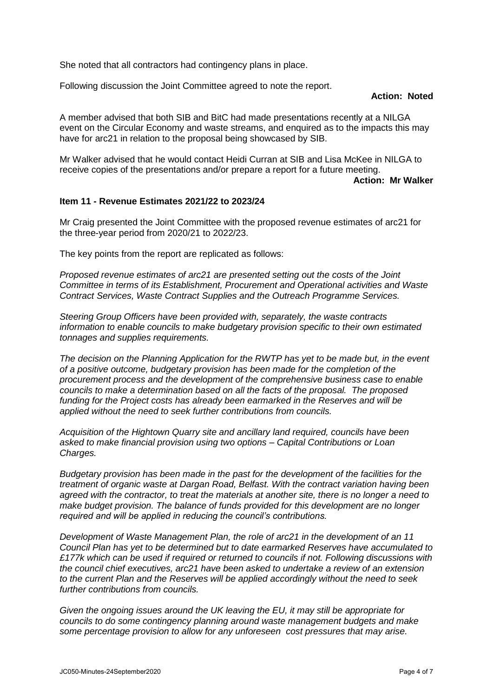She noted that all contractors had contingency plans in place.

Following discussion the Joint Committee agreed to note the report.

## **Action: Noted**

A member advised that both SIB and BitC had made presentations recently at a NILGA event on the Circular Economy and waste streams, and enquired as to the impacts this may have for arc21 in relation to the proposal being showcased by SIB.

Mr Walker advised that he would contact Heidi Curran at SIB and Lisa McKee in NILGA to receive copies of the presentations and/or prepare a report for a future meeting.

**Action: Mr Walker**

## **Item 11 - Revenue Estimates 2021/22 to 2023/24**

Mr Craig presented the Joint Committee with the proposed revenue estimates of arc21 for the three-year period from 2020/21 to 2022/23.

The key points from the report are replicated as follows:

*Proposed revenue estimates of arc21 are presented setting out the costs of the Joint Committee in terms of its Establishment, Procurement and Operational activities and Waste Contract Services, Waste Contract Supplies and the Outreach Programme Services.* 

*Steering Group Officers have been provided with, separately, the waste contracts information to enable councils to make budgetary provision specific to their own estimated tonnages and supplies requirements.*

*The decision on the Planning Application for the RWTP has yet to be made but, in the event of a positive outcome, budgetary provision has been made for the completion of the procurement process and the development of the comprehensive business case to enable councils to make a determination based on all the facts of the proposal. The proposed funding for the Project costs has already been earmarked in the Reserves and will be applied without the need to seek further contributions from councils.*

*Acquisition of the Hightown Quarry site and ancillary land required, councils have been asked to make financial provision using two options – Capital Contributions or Loan Charges.* 

*Budgetary provision has been made in the past for the development of the facilities for the treatment of organic waste at Dargan Road, Belfast. With the contract variation having been agreed with the contractor, to treat the materials at another site, there is no longer a need to make budget provision. The balance of funds provided for this development are no longer required and will be applied in reducing the council's contributions.*

*Development of Waste Management Plan, the role of arc21 in the development of an 11 Council Plan has yet to be determined but to date earmarked Reserves have accumulated to £177k which can be used if required or returned to councils if not. Following discussions with the council chief executives, arc21 have been asked to undertake a review of an extension to the current Plan and the Reserves will be applied accordingly without the need to seek further contributions from councils.*

*Given the ongoing issues around the UK leaving the EU, it may still be appropriate for councils to do some contingency planning around waste management budgets and make some percentage provision to allow for any unforeseen cost pressures that may arise.*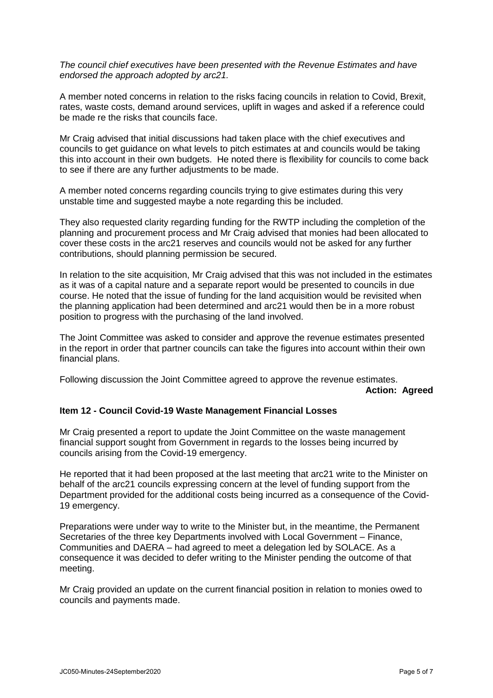*The council chief executives have been presented with the Revenue Estimates and have endorsed the approach adopted by arc21.* 

A member noted concerns in relation to the risks facing councils in relation to Covid, Brexit, rates, waste costs, demand around services, uplift in wages and asked if a reference could be made re the risks that councils face.

Mr Craig advised that initial discussions had taken place with the chief executives and councils to get guidance on what levels to pitch estimates at and councils would be taking this into account in their own budgets. He noted there is flexibility for councils to come back to see if there are any further adjustments to be made.

A member noted concerns regarding councils trying to give estimates during this very unstable time and suggested maybe a note regarding this be included.

They also requested clarity regarding funding for the RWTP including the completion of the planning and procurement process and Mr Craig advised that monies had been allocated to cover these costs in the arc21 reserves and councils would not be asked for any further contributions, should planning permission be secured.

In relation to the site acquisition, Mr Craig advised that this was not included in the estimates as it was of a capital nature and a separate report would be presented to councils in due course. He noted that the issue of funding for the land acquisition would be revisited when the planning application had been determined and arc21 would then be in a more robust position to progress with the purchasing of the land involved.

The Joint Committee was asked to consider and approve the revenue estimates presented in the report in order that partner councils can take the figures into account within their own financial plans.

Following discussion the Joint Committee agreed to approve the revenue estimates. **Action: Agreed**

#### **Item 12 - Council Covid-19 Waste Management Financial Losses**

Mr Craig presented a report to update the Joint Committee on the waste management financial support sought from Government in regards to the losses being incurred by councils arising from the Covid-19 emergency.

He reported that it had been proposed at the last meeting that arc21 write to the Minister on behalf of the arc21 councils expressing concern at the level of funding support from the Department provided for the additional costs being incurred as a consequence of the Covid-19 emergency.

Preparations were under way to write to the Minister but, in the meantime, the Permanent Secretaries of the three key Departments involved with Local Government – Finance, Communities and DAERA – had agreed to meet a delegation led by SOLACE. As a consequence it was decided to defer writing to the Minister pending the outcome of that meeting.

Mr Craig provided an update on the current financial position in relation to monies owed to councils and payments made.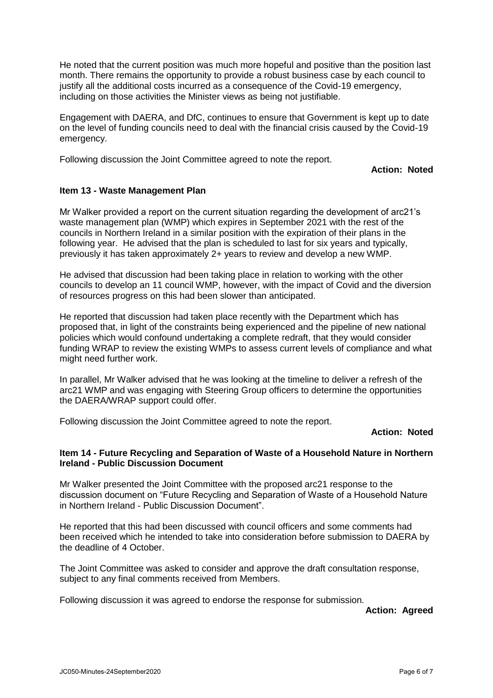He noted that the current position was much more hopeful and positive than the position last month. There remains the opportunity to provide a robust business case by each council to justify all the additional costs incurred as a consequence of the Covid-19 emergency, including on those activities the Minister views as being not justifiable.

Engagement with DAERA, and DfC, continues to ensure that Government is kept up to date on the level of funding councils need to deal with the financial crisis caused by the Covid-19 emergency.

Following discussion the Joint Committee agreed to note the report.

**Action: Noted**

## **Item 13 - Waste Management Plan**

Mr Walker provided a report on the current situation regarding the development of arc21's waste management plan (WMP) which expires in September 2021 with the rest of the councils in Northern Ireland in a similar position with the expiration of their plans in the following year. He advised that the plan is scheduled to last for six years and typically, previously it has taken approximately 2+ years to review and develop a new WMP.

He advised that discussion had been taking place in relation to working with the other councils to develop an 11 council WMP, however, with the impact of Covid and the diversion of resources progress on this had been slower than anticipated.

He reported that discussion had taken place recently with the Department which has proposed that, in light of the constraints being experienced and the pipeline of new national policies which would confound undertaking a complete redraft, that they would consider funding WRAP to review the existing WMPs to assess current levels of compliance and what might need further work.

In parallel, Mr Walker advised that he was looking at the timeline to deliver a refresh of the arc21 WMP and was engaging with Steering Group officers to determine the opportunities the DAERA/WRAP support could offer.

Following discussion the Joint Committee agreed to note the report.

# **Action: Noted**

## **Item 14 - Future Recycling and Separation of Waste of a Household Nature in Northern Ireland - Public Discussion Document**

Mr Walker presented the Joint Committee with the proposed arc21 response to the discussion document on "Future Recycling and Separation of Waste of a Household Nature in Northern Ireland - Public Discussion Document".

He reported that this had been discussed with council officers and some comments had been received which he intended to take into consideration before submission to DAERA by the deadline of 4 October.

The Joint Committee was asked to consider and approve the draft consultation response, subject to any final comments received from Members.

Following discussion it was agreed to endorse the response for submission.

**Action: Agreed**